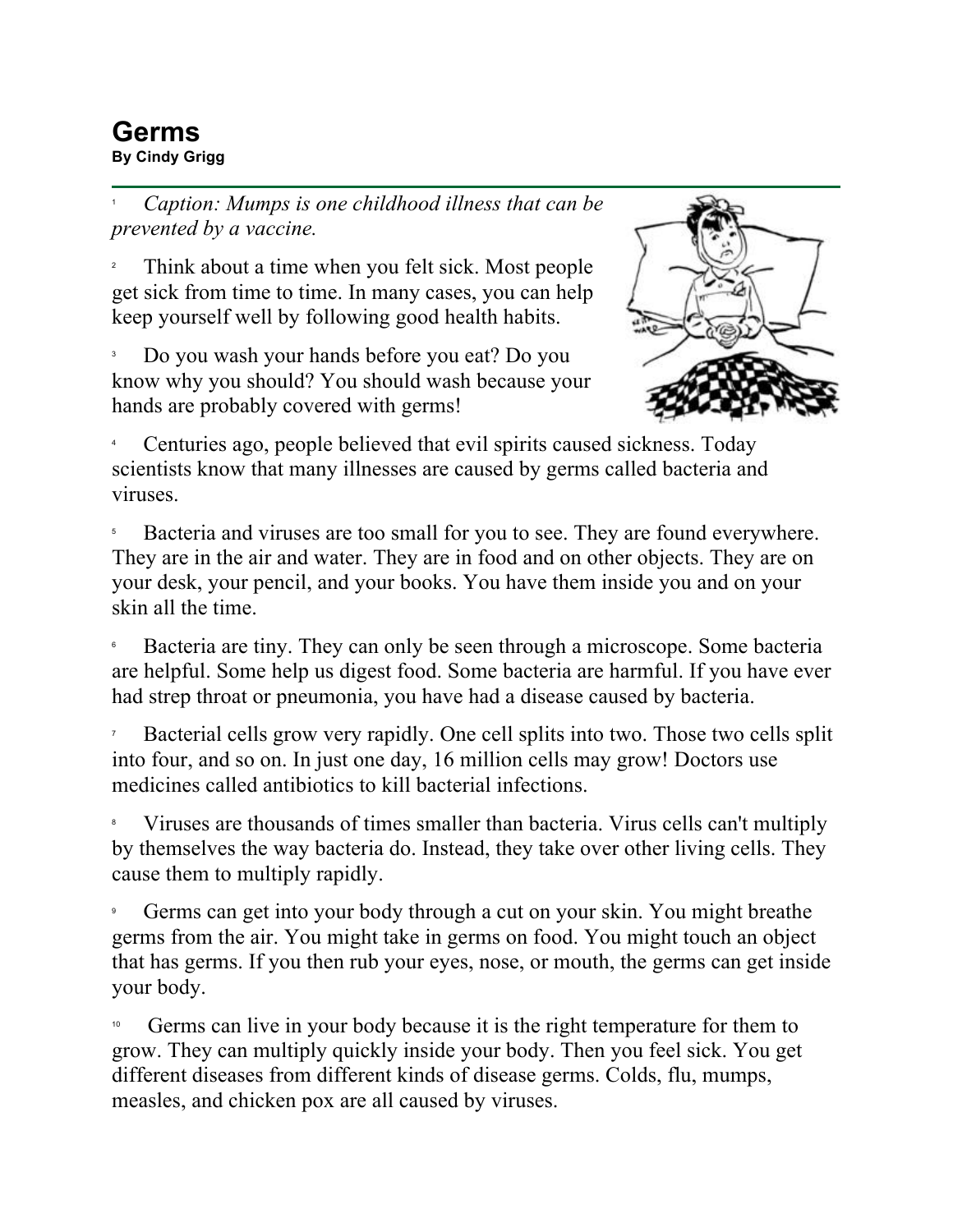## **Germs**<br>By Cindy Grigg **By Cindy Grigg**<br>By Cindy Grigg

1 *Caption: Mumps is one childhood illness that can be prevented by a vaccine.*

2 Think about a time when you felt sick. Most people get sick from time to time. In many cases, you can help keep yourself well by following good health habits.

3 Do you wash your hands before you eat? Do you know why you should? You should wash because your hands are probably covered with germs!



4 Centuries ago, people believed that evil spirits caused sickness. Today scientists know that many illnesses are caused by germs called bacteria and viruses.

5 Bacteria and viruses are too small for you to see. They are found everywhere. They are in the air and water. They are in food and on other objects. They are on your desk, your pencil, and your books. You have them inside you and on your skin all the time.

6 Bacteria are tiny. They can only be seen through a microscope. Some bacteria are helpful. Some help us digest food. Some bacteria are harmful. If you have ever had strep throat or pneumonia, you have had a disease caused by bacteria.

7 Bacterial cells grow very rapidly. One cell splits into two. Those two cells split into four, and so on. In just one day, 16 million cells may grow! Doctors use medicines called antibiotics to kill bacterial infections.

8 Viruses are thousands of times smaller than bacteria. Virus cells can't multiply by themselves the way bacteria do. Instead, they take over other living cells. They cause them to multiply rapidly.

9 Germs can get into your body through a cut on your skin. You might breathe germs from the air. You might take in germs on food. You might touch an object that has germs. If you then rub your eyes, nose, or mouth, the germs can get inside your body.

Germs can live in your body because it is the right temperature for them to grow. They can multiply quickly inside your body. Then you feel sick. You get different diseases from different kinds of disease germs. Colds, flu, mumps, measles, and chicken pox are all caused by viruses.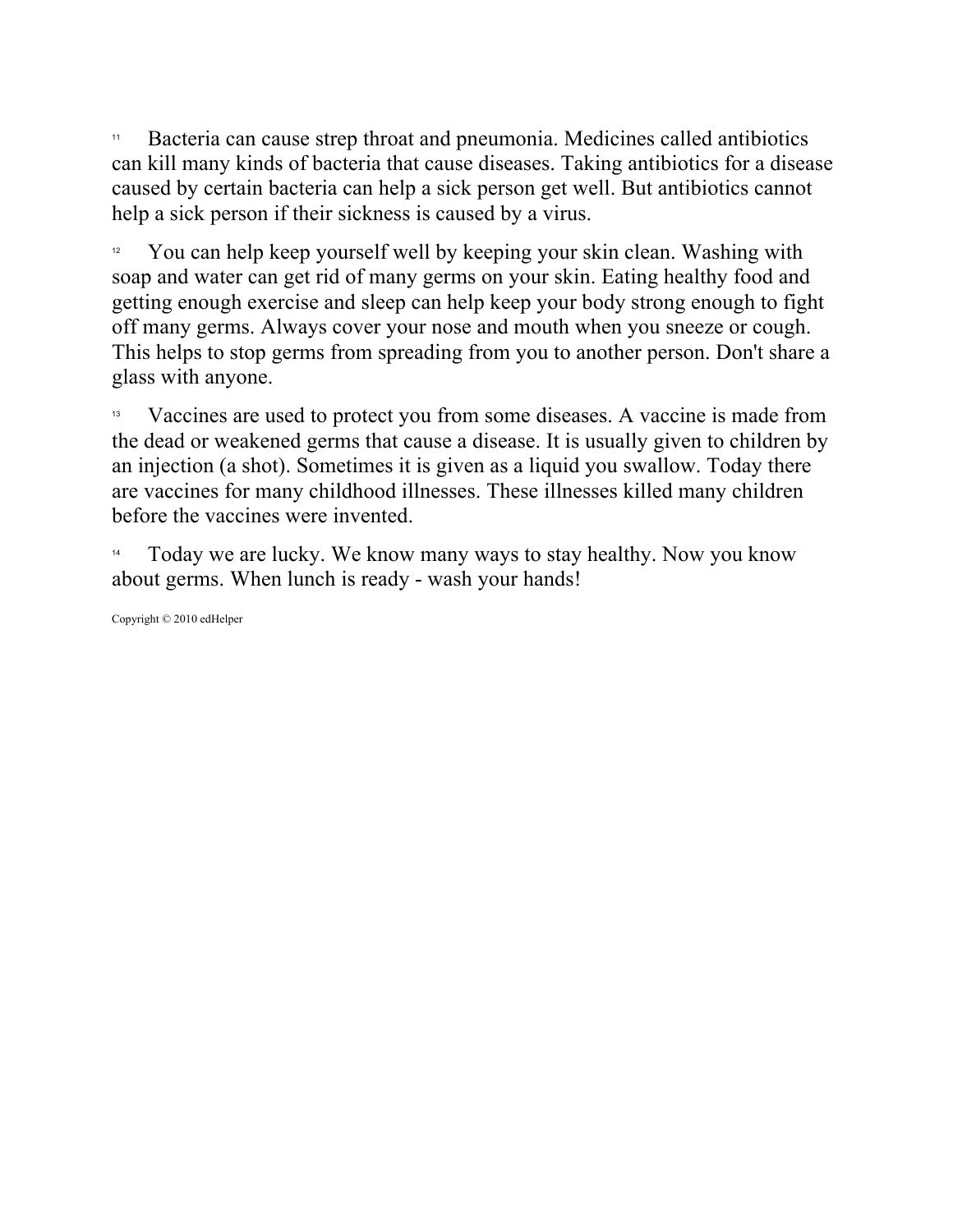<sup>11</sup> Bacteria can cause strep throat and pneumonia. Medicines called antibiotics can kill many kinds of bacteria that cause diseases. Taking antibiotics for a disease caused by certain bacteria can help a sick person get well. But antibiotics cannot help a sick person if their sickness is caused by a virus.

<sup>12</sup> You can help keep yourself well by keeping your skin clean. Washing with soap and water can get rid of many germs on your skin. Eating healthy food and getting enough exercise and sleep can help keep your body strong enough to fight off many germs. Always cover your nose and mouth when you sneeze or cough. This helps to stop germs from spreading from you to another person. Don't share a glass with anyone.

13 Vaccines are used to protect you from some diseases. A vaccine is made from the dead or weakened germs that cause a disease. It is usually given to children by an injection (a shot). Sometimes it is given as a liquid you swallow. Today there are vaccines for many childhood illnesses. These illnesses killed many children before the vaccines were invented.

Today we are lucky. We know many ways to stay healthy. Now you know about germs. When lunch is ready - wash your hands!

Copyright © 2010 edHelper